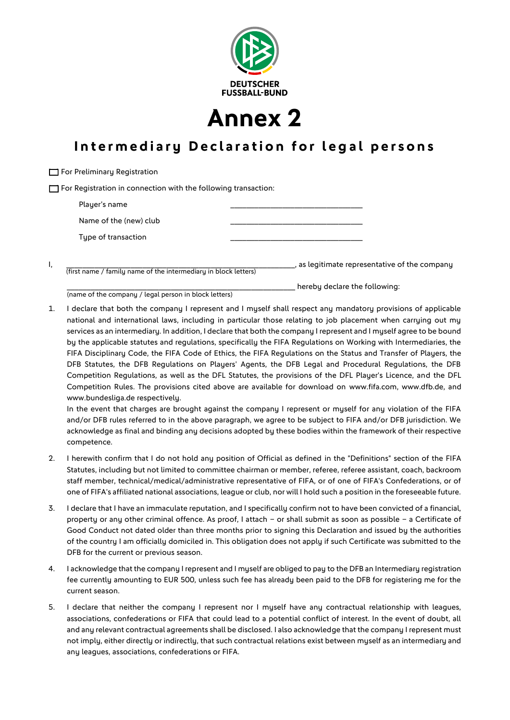

**Annex 2**

## **Intermediary Declaration for legal persons**

 $\Box$  For Preliminary Registration  $\Box$  For Registration in connection with the following transaction: Player's name Name of the (new) club Type of transaction

I, \_\_\_\_\_\_\_\_\_\_\_\_\_\_\_\_\_\_\_\_\_\_\_\_\_\_\_\_\_\_\_\_\_\_\_\_\_\_\_\_\_\_\_\_\_\_\_\_\_\_\_\_\_\_\_\_\_, as legitimate representative of the company (first name / family name of the intermediary in block letters)

\_\_\_\_\_\_\_\_\_\_\_\_\_\_\_\_\_\_\_\_\_\_\_\_\_\_\_\_\_\_\_\_\_\_\_\_\_\_\_\_\_\_\_\_\_\_\_\_\_\_\_\_\_\_\_\_\_ hereby declare the following: (name of the company / legal person in block letters)

1. I declare that both the company I represent and I myself shall respect any mandatory provisions of applicable national and international laws, including in particular those relating to job placement when carrying out my services as an intermediary. In addition, I declare that both the company I represent and I myself agree to be bound by the applicable statutes and regulations, specifically the FIFA Regulations on Working with Intermediaries, the FIFA Disciplinary Code, the FIFA Code of Ethics, the FIFA Regulations on the Status and Transfer of Players, the DFB Statutes, the DFB Regulations on Players' Agents, the DFB Legal and Procedural Regulations, the DFB Competition Regulations, as well as the DFL Statutes, the provisions of the DFL Player's Licence, and the DFL Competition Rules. The provisions cited above are available for download on www.fifa.com, www.dfb.de, and www.bundesliga.de respectively.

In the event that charges are brought against the company I represent or myself for any violation of the FIFA and/or DFB rules referred to in the above paragraph, we agree to be subject to FIFA and/or DFB jurisdiction. We acknowledge as final and binding any decisions adopted by these bodies within the framework of their respective competence.

- 2. I herewith confirm that I do not hold any position of Official as defined in the "Definitions" section of the FIFA Statutes, including but not limited to committee chairman or member, referee, referee assistant, coach, backroom staff member, technical/medical/administrative representative of FIFA, or of one of FIFA's Confederations, or of one of FIFA's affiliated national associations, league or club, nor will I hold such a position in the foreseeable future.
- 3. I declare that I have an immaculate reputation, and I specifically confirm not to have been convicted of a financial, property or any other criminal offence. As proof, I attach – or shall submit as soon as possible – a Certificate of Good Conduct not dated older than three months prior to signing this Declaration and issued by the authorities of the country I am officially domiciled in. This obligation does not apply if such Certificate was submitted to the DFB for the current or previous season.
- 4. I acknowledge that the company I represent and I myself are obliged to pay to the DFB an Intermediary registration fee currently amounting to EUR 500, unless such fee has already been paid to the DFB for registering me for the current season.
- 5. I declare that neither the company I represent nor I myself have any contractual relationship with leagues, associations, confederations or FIFA that could lead to a potential conflict of interest. In the event of doubt, all and any relevant contractual agreements shall be disclosed. I also acknowledge that the company I represent must not imply, either directly or indirectly, that such contractual relations exist between myself as an intermediary and any leagues, associations, confederations or FIFA.